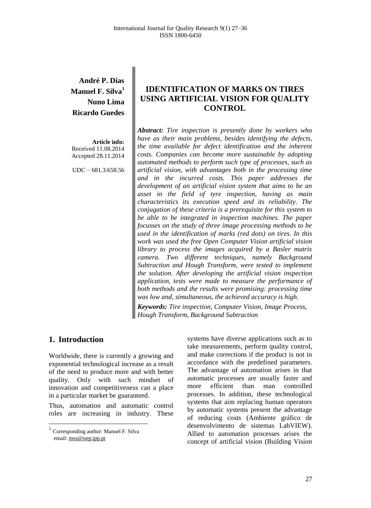# **André P. Dias Manuel F. Silva<sup>1</sup> Nuno Lima Ricardo Guedes**

**Article info:** Received 11.08.2014 Accepted 28.11.2014

UDC – 681.3:658.56

# **IDENTIFICATION OF MARKS ON TIRES USING ARTIFICIAL VISION FOR QUALITY CONTROL**

*Abstract: Tire inspection is presently done by workers who have as their main problems, besides identifying the defects, the time available for defect identification and the inherent costs. Companies can become more sustainable by adopting automated methods to perform such type of processes, such as artificial vision, with advantages both in the processing time and in the incurred costs. This paper addresses the development of an artificial vision system that aims to be an asset in the field of tyre inspection, having as main characteristics its execution speed and its reliability. The conjugation of these criteria is a prerequisite for this system to be able to be integrated in inspection machines. The paper focusses on the study of three image processing methods to be used in the identification of marks (red dots) on tires. In this work was used the free Open Computer Vision artificial vision library to process the images acquired by a Basler matrix camera. Two different techniques, namely Background Subtraction and Hough Transform, were tested to implement the solution. After developing the artificial vision inspection application, tests were made to measure the performance of both methods and the results were promising: processing time was low and, simultaneous, the achieved accuracy is high.*

*Keywords: Tire inspection, Computer Vision, Image Process, Hough Transform, Background Subtraction*

## **1. Introduction<sup>1</sup>**

 $\overline{\phantom{a}}$ 

Worldwide, there is currently a growing and exponential technological increase as a result of the need to produce more and with better quality. Only with such mindset of innovation and competitiveness can a place in a particular market be guaranteed.

Thus, automation and automatic control roles are increasing in industry. These

systems have diverse applications such as to take measurements, perform quality control, and make corrections if the product is not in accordance with the predefined parameters. The advantage of automation arises in that automatic processes are usually faster and more efficient than man controlled processes. In addition, these technological systems that aim replacing human operators by automatic systems present the advantage of reducing costs (Ambiente gráfico de desenvolvimento de sistemas LabVIEW). Allied to automation processes arises the concept of artificial vision (Building Vision

<sup>&</sup>lt;sup>1</sup> Corresponding author: Manuel F. Silva email[: mss@isep.ipp.pt](mailto:mss@isep.ipp.pt)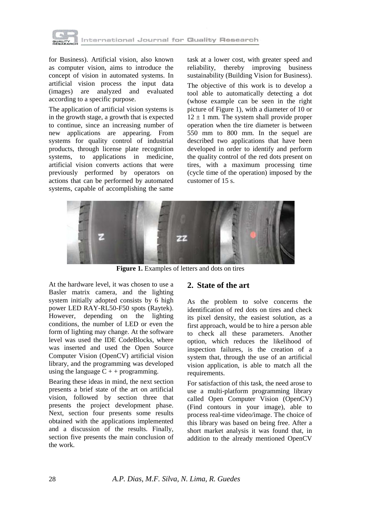

for Business). Artificial vision, also known as computer vision, aims to introduce the concept of vision in automated systems. In artificial vision process the input data (images) are analyzed and evaluated according to a specific purpose.

The application of artificial vision systems is in the growth stage, a growth that is expected to continue, since an increasing number of new applications are appearing. From systems for quality control of industrial products, through license plate recognition systems, to applications in medicine, artificial vision converts actions that were previously performed by operators on actions that can be performed by automated systems, capable of accomplishing the same

task at a lower cost, with greater speed and reliability, thereby improving business sustainability (Building Vision for Business). The objective of this work is to develop a tool able to automatically detecting a dot (whose example can be seen in the right picture of Figure 1), with a diameter of 10 or  $12 \pm 1$  mm. The system shall provide proper operation when the tire diameter is between 550 mm to 800 mm. In the sequel are described two applications that have been developed in order to identify and perform the quality control of the red dots present on tires, with a maximum processing time (cycle time of the operation) imposed by the customer of 15 s.



Figure 1. Examples of letters and dots on tires

At the hardware level, it was chosen to use a Basler matrix camera, and the lighting system initially adopted consists by 6 high power LED RAY-RL50-F50 spots (Raytek). However, depending on the lighting conditions, the number of LED or even the form of lighting may change. At the software level was used the IDE CodeBlocks, where was inserted and used the Open Source Computer Vision (OpenCV) artificial vision library, and the programming was developed using the language  $C + +$  programming.

Bearing these ideas in mind, the next section presents a brief state of the art on artificial vision, followed by section three that presents the project development phase. Next, section four presents some results obtained with the applications implemented and a discussion of the results. Finally, section five presents the main conclusion of the work.

## **2. State of the art**

As the problem to solve concerns the identification of red dots on tires and check its pixel density, the easiest solution, as a first approach, would be to hire a person able to check all these parameters. Another option, which reduces the likelihood of inspection failures, is the creation of a system that, through the use of an artificial vision application, is able to match all the requirements.

For satisfaction of this task, the need arose to use a multi-platform programming library called Open Computer Vision (OpenCV) (Find contours in your image), able to process real-time video/image. The choice of this library was based on being free. After a short market analysis it was found that, in addition to the already mentioned OpenCV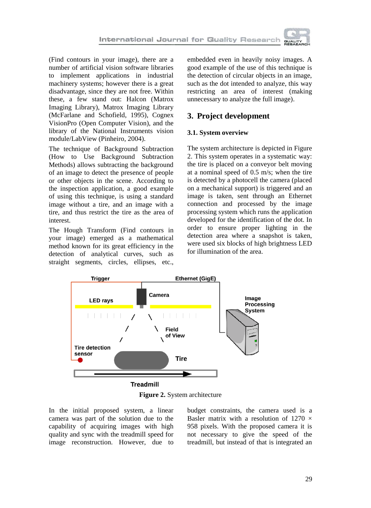

(Find contours in your image), there are a number of artificial vision software libraries to implement applications in industrial machinery systems; however there is a great disadvantage, since they are not free. Within these, a few stand out: Halcon (Matrox Imaging Library), Matrox Imaging Library (McFarlane and Schofield, 1995), Cognex VisionPro (Open Computer Vision), and the library of the National Instruments vision module/LabView (Pinheiro, 2004).

The technique of Background Subtraction (How to Use Background Subtraction Methods) allows subtracting the background of an image to detect the presence of people or other objects in the scene. According to the inspection application, a good example of using this technique, is using a standard image without a tire, and an image with a tire, and thus restrict the tire as the area of interest.

The Hough Transform (Find contours in your image) emerged as a mathematical method known for its great efficiency in the detection of analytical curves, such as straight segments, circles, ellipses, etc., embedded even in heavily noisy images. A good example of the use of this technique is the detection of circular objects in an image, such as the dot intended to analyze, this way restricting an area of interest (making unnecessary to analyze the full image).

# **3. Project development**

## **3.1. System overview**

The system architecture is depicted in Figure 2. This system operates in a systematic way: the tire is placed on a conveyor belt moving at a nominal speed of 0.5 m/s; when the tire is detected by a photocell the camera (placed on a mechanical support) is triggered and an image is taken, sent through an Ethernet connection and processed by the image processing system which runs the application developed for the identification of the dot. In order to ensure proper lighting in the detection area where a snapshot is taken, were used six blocks of high brightness LED for illumination of the area.



**Figure 2.** System architecture

In the initial proposed system, a linear camera was part of the solution due to the capability of acquiring images with high quality and sync with the treadmill speed for image reconstruction. However, due to

budget constraints, the camera used is a Basler matrix with a resolution of 1270  $\times$ 958 pixels. With the proposed camera it is not necessary to give the speed of the treadmill, but instead of that is integrated an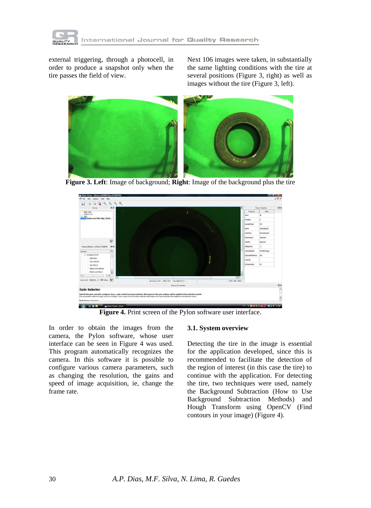

external triggering, through a photocell, in order to produce a snapshot only when the tire passes the field of view.

Next 106 images were taken, in substantially the same lighting conditions with the tire at several positions (Figure 3, right) as well as images without the tire (Figure 3, left).



**Figure 3. Left**: Image of background; **Right**: Image of the background plus the tire



**Figure 4.** Print screen of the Pylon software user interface.

In order to obtain the images from the camera, the Pylon software, whose user interface can be seen in Figure 4 was used. This program automatically recognizes the camera. In this software it is possible to configure various camera parameters, such as changing the resolution, the gains and speed of image acquisition, ie, change the frame rate.

#### **3.1. System overview**

Detecting the tire in the image is essential for the application developed, since this is recommended to facilitate the detection of the region of interest (in this case the tire) to continue with the application. For detecting the tire, two techniques were used, namely the Background Subtraction (How to Use Background Subtraction Methods) and Hough Transform using OpenCV (Find contours in your image) (Figure 4).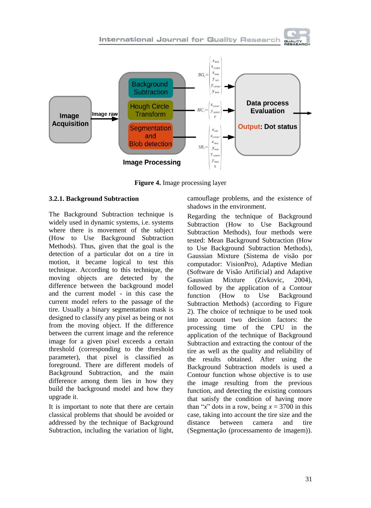International Journal for Quality Research



**Figure 4.** Image processing layer

### **3.2.1. Background Subtraction**

The Background Subtraction technique is widely used in dynamic systems, i.e. systems where there is movement of the subject (How to Use Background Subtraction Methods). Thus, given that the goal is the detection of a particular dot on a tire in motion, it became logical to test this technique. According to this technique, the moving objects are detected by the difference between the background model and the current model - in this case the current model refers to the passage of the tire. Usually a binary segmentation mask is designed to classify any pixel as being or not from the moving object. If the difference between the current image and the reference image for a given pixel exceeds a certain threshold (corresponding to the threshold parameter), that pixel is classified as foreground. There are different models of Background Subtraction, and the main difference among them lies in how they build the background model and how they upgrade it.

It is important to note that there are certain classical problems that should be avoided or addressed by the technique of Background Subtraction, including the variation of light,

camouflage problems, and the existence of shadows in the environment.

Regarding the technique of Background Subtraction (How to Use Background Subtraction Methods), four methods were tested: Mean Background Subtraction (How to Use Background Subtraction Methods), Gaussian Mixture (Sistema de visão por computador: VisionPro), Adaptive Median (Software de Visão Artificial) and Adaptive Gaussian Mixture (Zivkovic, 2004), followed by the application of a Contour function (How to Use Background Subtraction Methods) (according to Figure 2). The choice of technique to be used took into account two decision factors: the processing time of the CPU in the application of the technique of Background Subtraction and extracting the contour of the tire as well as the quality and reliability of the results obtained. After using the Background Subtraction models is used a Contour function whose objective is to use the image resulting from the previous function, and detecting the existing contours that satisfy the condition of having more than "*x*" dots in a row, being  $x = 3700$  in this case, taking into account the tire size and the distance between camera and tire (Segmentação (processamento de imagem)).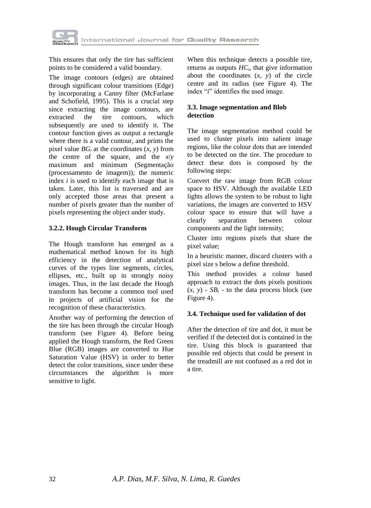

This ensures that only the tire has sufficient points to be considered a valid boundary.

The image contours (edges) are obtained through significant colour transitions (Edge) by incorporating a Canny filter (McFarlane and Schofield, 1995). This is a crucial step since extracting the image contours, are extracted the tire contours, which subsequently are used to identify it. The contour function gives as output a rectangle where there is a valid contour, and prints the pixel value  $BG_i$  at the coordinates  $(x, y)$  from the centre of the square, and the *x*/*y* maximum and minimum (Segmentação (processamento de imagem)); the numeric index *i* is used to identify each image that is taken. Later, this list is traversed and are only accepted those areas that present a number of pixels greater than the number of pixels representing the object under study.

### **3.2.2. Hough Circular Transform**

The Hough transform has emerged as a mathematical method known for its high efficiency in the detection of analytical curves of the types line segments, circles, ellipses, etc., built up in strongly noisy images. Thus, in the last decade the Hough transform has become a common tool used in projects of artificial vision for the recognition of these characteristics.

Another way of performing the detection of the tire has been through the circular Hough transform (see Figure 4). Before being applied the Hough transform, the Red Green Blue (RGB) images are converted to Hue Saturation Value (HSV) in order to better detect the color transitions, since under these circumstances the algorithm is more sensitive to light.

When this technique detects a possible tire, returns as outputs  $HC<sub>i</sub>$ , that give information about the coordinates  $(x, y)$  of the circle centre and its radius (see Figure 4). The index "*i*" identifies the used image.

## **3.3. Image segmentation and Blob detection**

The image segmentation method could be used to cluster pixels into salient image regions, like the colour dots that are intended to be detected on the tire. The procedure to detect these dots is composed by the following steps:

Convert the raw image from RGB colour space to HSV. Although the available LED lights allows the system to be robust to light variations, the images are converted to HSV colour space to ensure that will have a clearly separation between colour components and the light intensity;

Cluster into regions pixels that share the pixel value;

In a heuristic manner, discard clusters with a pixel size s below a define threshold.

This method provides a colour based approach to extract the dots pixels positions  $(x, y)$  -  $SB_i$  - to the data process block (see Figure 4).

### **3.4. Technique used for validation of dot**

After the detection of tire and dot, it must be verified if the detected dot is contained in the tire. Using this block is guaranteed that possible red objects that could be present in the treadmill are not confused as a red dot in a tire.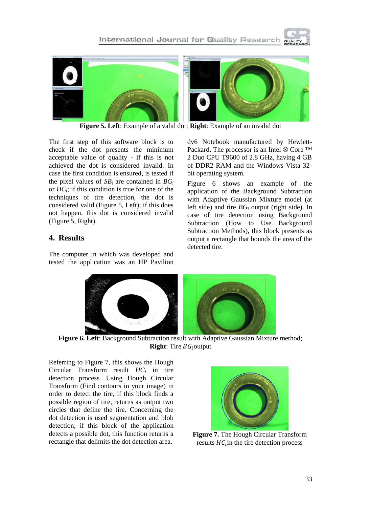



**Figure 5. Left**: Example of a valid dot; **Right**: Example of an invalid dot

The first step of this software block is to check if the dot presents the minimum acceptable value of quality - if this is not achieved the dot is considered invalid. In case the first condition is ensured, is tested if the pixel values of  $SB_i$  are contained in  $BG_i$ or  $HC_i$ ; if this condition is true for one of the techniques of tire detection, the dot is considered valid (Figure 5, Left); if this does not happen, this dot is considered invalid (Figure 5, Right).

# **4. Results**

The computer in which was developed and tested the application was an HP Pavilion dv6 Notebook manufactured by Hewlett-Packard. The processor is an Intel ® Core ™ 2 Duo CPU T9600 of 2.8 GHz, having 4 GB of DDR2 RAM and the Windows Vista 32 bit operating system.

Figure 6 shows an example of the application of the Background Subtraction with Adaptive Gaussian Mixture model (at left side) and tire *BG<sup>i</sup>* output (right side). In case of tire detection using Background Subtraction (How to Use Background Subtraction Methods), this block presents as output a rectangle that bounds the area of the detected tire.



**Figure 6. Left**: Background Subtraction result with Adaptive Gaussian Mixture method; **Right**: Tire  $BG_i$  output

Referring to Figure 7, this shows the Hough Circular Transform result *HC<sup>i</sup>* in tire detection process. Using Hough Circular Transform (Find contours in your image) in order to detect the tire, if this block finds a possible region of tire, returns as output two circles that define the tire. Concerning the dot detection is used segmentation and blob detection; if this block of the application detects a possible dot, this function returns a rectangle that delimits the dot detection area.



**Figure 7.** The Hough Circular Transform results  $HC_i$  in the tire detection process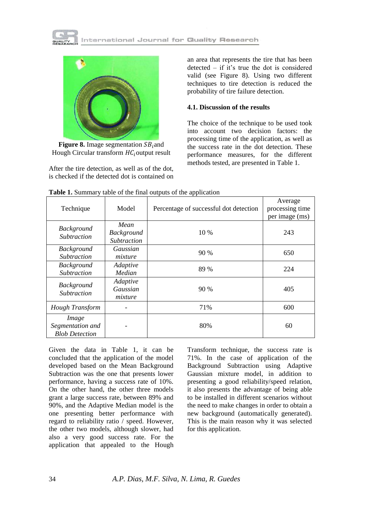



**Figure 8.** Image segmentation  $SB$ <sub>i</sub> and Hough Circular transform  $HC_i$ output result

After the tire detection, as well as of the dot, is checked if the detected dot is contained on

an area that represents the tire that has been detected – if it's true the dot is considered valid (see Figure 8). Using two different techniques to tire detection is reduced the probability of tire failure detection.

#### **4.1. Discussion of the results**

The choice of the technique to be used took into account two decision factors: the processing time of the application, as well as the success rate in the dot detection. These performance measures, for the different methods tested, are presented in Table 1.

| Technique                                          | Model                                           | Percentage of successful dot detection | Average<br>processing time<br>per image (ms) |
|----------------------------------------------------|-------------------------------------------------|----------------------------------------|----------------------------------------------|
| <b>Background</b><br><b>Subtraction</b>            | Mean<br><b>Background</b><br><b>Subtraction</b> | 10 %                                   | 243                                          |
| <b>Background</b><br><i>Subtraction</i>            | Gaussian<br>mixture                             | 90 %                                   | 650                                          |
| <b>Background</b><br><b>Subtraction</b>            | Adaptive<br>Median                              | 89 %                                   | 224                                          |
| <b>Background</b><br><b>Subtraction</b>            | Adaptive<br>Gaussian<br>mixture                 | 90%                                    | 405                                          |
| Hough Transform                                    |                                                 | 71%                                    | 600                                          |
| Image<br>Segmentation and<br><b>Blob Detection</b> |                                                 | 80%                                    | 60                                           |

**Table 1.** Summary table of the final outputs of the application

Given the data in Table 1, it can be concluded that the application of the model developed based on the Mean Background Subtraction was the one that presents lower performance, having a success rate of 10%. On the other hand, the other three models grant a large success rate, between 89% and 90%, and the Adaptive Median model is the one presenting better performance with regard to reliability ratio / speed. However, the other two models, although slower, had also a very good success rate. For the application that appealed to the Hough

Transform technique, the success rate is 71%. In the case of application of the Background Subtraction using Adaptive Gaussian mixture model, in addition to presenting a good reliability/speed relation, it also presents the advantage of being able to be installed in different scenarios without the need to make changes in order to obtain a new background (automatically generated). This is the main reason why it was selected for this application.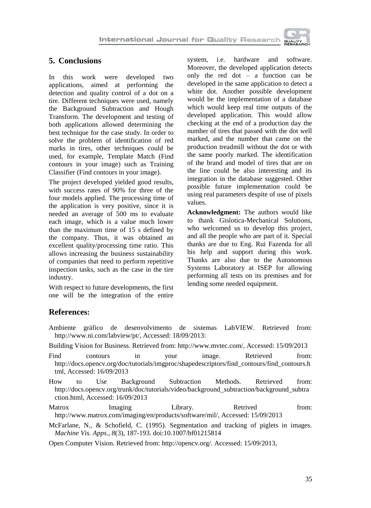

## **5. Conclusions**

In this work were developed two applications, aimed at performing the detection and quality control of a dot on a tire. Different techniques were used, namely the Background Subtraction and Hough Transform. The development and testing of both applications allowed determining the best technique for the case study. In order to solve the problem of identification of red marks in tires, other techniques could be used, for example, Template Match (Find contours in your image) such as Training Classifier (Find contours in your image).

The project developed yielded good results, with success rates of 90% for three of the four models applied. The processing time of the application is very positive, since it is needed an average of 500 ms to evaluate each image, which is a value much lower than the maximum time of 15 s defined by the company. Thus, it was obtained an excellent quality/processing time ratio. This allows increasing the business sustainability of companies that need to perform repetitive inspection tasks, such as the case in the tire industry.

With respect to future developments, the first one will be the integration of the entire

system, i.e. hardware and software. Moreover, the developed application detects only the red dot – a function can be developed in the same application to detect a white dot. Another possible development would be the implementation of a database which would keep real time outputs of the developed application. This would allow checking at the end of a production day the number of tires that passed with the dot well marked, and the number that came on the production treadmill without the dot or with the same poorly marked. The identification of the brand and model of tires that are on the line could be also interesting and its integration in the database suggested. Other possible future implementation could be using real parameters despite of use of pixels values.

**Acknowledgment:** The authors would like to thank Gislotica-Mechanical Solutions, who welcomed us to develop this project, and all the people who are part of it. Special thanks are due to Eng. Rui Fazenda for all his help and support during this work. Thanks are also due to the Autonomous Systems Laboratory at ISEP for allowing performing all tests on its premises and for lending some needed equipment.

# **References:**

- Ambiente gráfico de desenvolvimento de sistemas LabVIEW. Retrieved from: http://www.ni.com/labview/pt/, Accessed: 18/09/2013:
- Building Vision for Business. Retrieved from: http://www.mvtec.com/, Accessed: 15/09/2013
- Find contours in your image. Retrieved from: http://docs.opencv.org/doc/tutorials/imgproc/shapedescriptors/find\_contours/find\_contours.h tml, Accessed: 16/09/2013
- How to Use Background Subtraction Methods. Retrieved from: http://docs.opencv.org/trunk/doc/tutorials/video/background\_subtraction/background\_subtra ction.html, Accessed: 16/09/2013

Matrox Imaging Library. Retrived from: http://www.matrox.com/imaging/en/products/software/mil/, Accessed: 15/09/2013

McFarlane, N., & Schofield, C. (1995). Segmentation and tracking of piglets in images. *Machine Vis. Apps.*, *8*(3), 187-193. doi:10.1007/bf01215814

Open Computer Vision. Retrieved from: http://opencv.org/. Accessed: 15/09/2013,